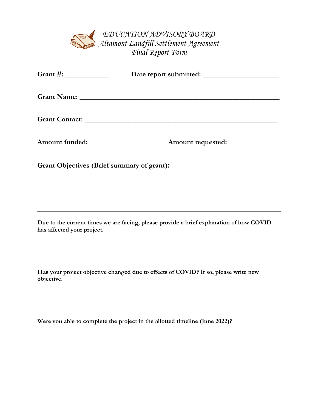*EDUCATION ADVISORY BOARD Altamont Landfill Settlement Agreement Final Report Form*

| Grant #: $\frac{1}{2}$            |                   |  |
|-----------------------------------|-------------------|--|
|                                   |                   |  |
|                                   |                   |  |
| Amount funded: __________________ | Amount requested: |  |

**Grant Objectives (Brief summary of grant):**

**Due to the current times we are facing, please provide a brief explanation of how COVID has affected your project.** 

**Has your project objective changed due to effects of COVID? If so, please write new objective.**

**Were you able to complete the project in the allotted timeline (June 2022)?**